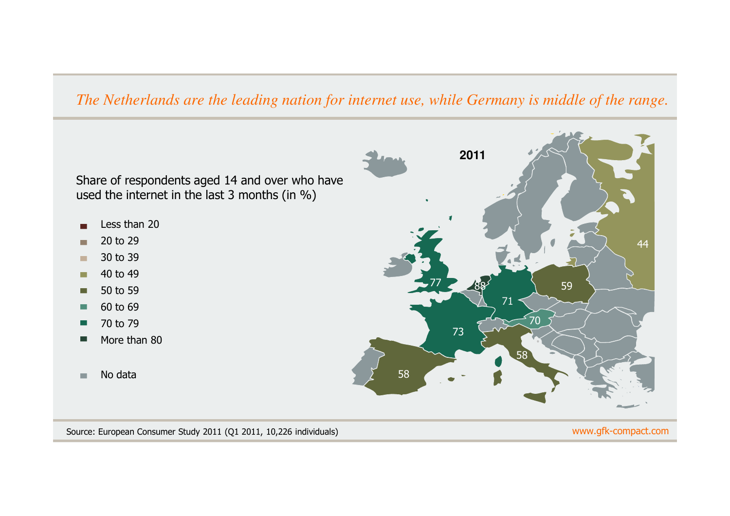## *The Netherlands are the leading nation for internet use, while Germany is middle of the range.*

Share of respondents aged 14 and over who have used the internet in the last 3 months (in %)

- Less than 20
- 20 to 29п
- 30 to 39 $\mathbf{r}$
- 40 to 49 $\blacksquare$
- 50 to 59Г
- 60 to 69П
- 70 to 79П
- More than 80
- No data $\mathbf{u}$



#### www.gfk-compact.com

Source: European Consumer Study 2011 (Q1 2011, 10,226 individuals)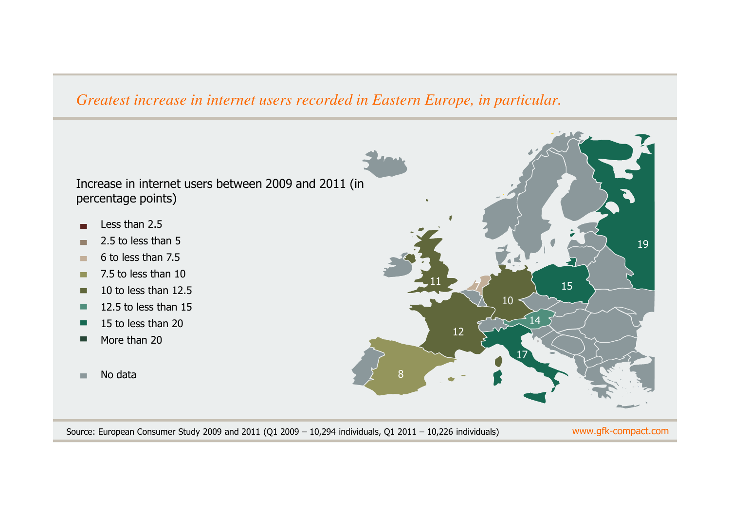### *Greatest increase in internet users recorded in Eastern Europe, in particular.*

Increase in internet users between 2009 and 2011 (in percentage points)

- Less than 2.5
- 2.5 to less than 5ш
- 6 to less than 7.5**The State**
- 7.5 to less than 10 $\blacksquare$
- 10 to less than 12.5Г
- 12.5 to less than 15 $\blacksquare$
- 15 to less than 20F.
- More than 20
- No data $\mathbf{u}$



Source: European Consumer Study 2009 and 2011 (Q1 2009 – 10,294 individuals, Q1 2011 – 10,226 individuals)

www.gfk-compact.com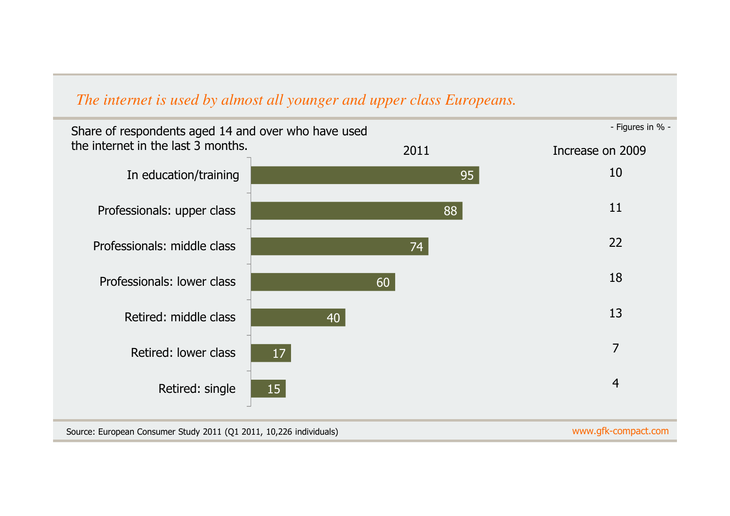# *The internet is used by almost all younger and upper class Europeans.*